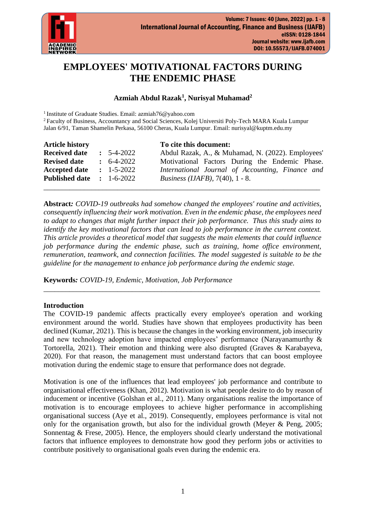

# **EMPLOYEES' MOTIVATIONAL FACTORS DURING THE ENDEMIC PHASE**

# **Azmiah Abdul Razak<sup>1</sup> , Nurisyal Muhamad<sup>2</sup>**

<sup>1</sup> Institute of Graduate Studies. Email: azmiah76@yahoo.com

<sup>2</sup> Faculty of Business, Accountancy and Social Sciences, Kolej Universiti Poly-Tech MARA Kuala Lumpur Jalan 6/91, Taman Shamelin Perkasa, 56100 Cheras, Kuala Lumpur. Email: nurisyal@kuptm.edu.my

| <b>Article history</b> |                    | To cite this document:                            |
|------------------------|--------------------|---------------------------------------------------|
| <b>Received date</b>   | $\pm 5 - 4 - 2022$ | Abdul Razak, A., & Muhamad, N. (2022). Employees' |
| <b>Revised date</b>    | $\div$ 6-4-2022    | Motivational Factors During the Endemic Phase.    |
| <b>Accepted date</b>   | $: 1 - 5 - 2022$   | International Journal of Accounting, Finance and  |
| <b>Published date</b>  | $: 1-6-2022$       | <i>Business (IJAFB), 7(40), 1 - 8.</i>            |
|                        |                    |                                                   |

**Abstract***: COVID-19 outbreaks had somehow changed the employees' routine and activities, consequently influencing their work motivation. Even in the endemic phase, the employees need to adapt to changes that might further impact their job performance. Thus this study aims to identify the key motivational factors that can lead to job performance in the current context. This article provides a theoretical model that suggests the main elements that could influence job performance during the endemic phase, such as training, home office environment, remuneration, teamwork, and connection facilities. The model suggested is suitable to be the guideline for the management to enhance job performance during the endemic stage.*

**Keywords***: COVID-19, Endemic, Motivation, Job Performance*

# **Introduction**

The COVID-19 pandemic affects practically every employee's operation and working environment around the world. Studies have shown that employees productivity has been declined (Kumar, 2021). This is because the changes in the working environment, job insecurity and new technology adoption have impacted employees' performance (Narayanamurthy & Tortorella, 2021). Their emotion and thinking were also disrupted (Graves & Karabayeva, 2020). For that reason, the management must understand factors that can boost employee motivation during the endemic stage to ensure that performance does not degrade.

\_\_\_\_\_\_\_\_\_\_\_\_\_\_\_\_\_\_\_\_\_\_\_\_\_\_\_\_\_\_\_\_\_\_\_\_\_\_\_\_\_\_\_\_\_\_\_\_\_\_\_\_\_\_\_\_\_\_\_\_\_\_\_\_\_\_\_\_\_\_\_\_\_\_\_

Motivation is one of the influences that lead employees' job performance and contribute to organisational effectiveness (Khan, 2012). Motivation is what people desire to do by reason of inducement or incentive (Golshan et al., 2011). Many organisations realise the importance of motivation is to encourage employees to achieve higher performance in accomplishing organisational success (Aye et al., 2019). Consequently, employees performance is vital not only for the organisation growth, but also for the individual growth (Meyer & Peng, 2005; Sonnentag & Frese, 2005). Hence, the employers should clearly understand the motivational factors that influence employees to demonstrate how good they perform jobs or activities to contribute positively to organisational goals even during the endemic era.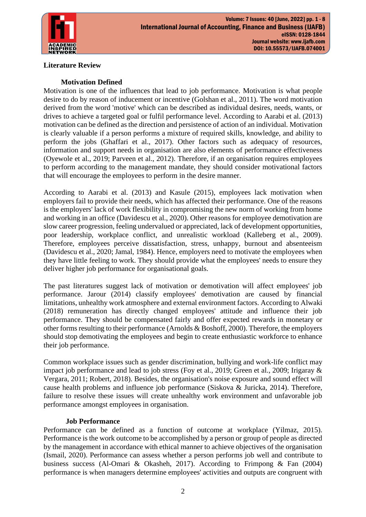

# **Literature Review**

# **Motivation Defined**

Motivation is one of the influences that lead to job performance. Motivation is what people desire to do by reason of inducement or incentive (Golshan et al., 2011). The word motivation derived from the word 'motive' which can be described as individual desires, needs, wants, or drives to achieve a targeted goal or fulfil performance level. According to Aarabi et al. (2013) motivation can be defined as the direction and persistence of action of an individual. Motivation is clearly valuable if a person performs a mixture of required skills, knowledge, and ability to perform the jobs (Ghaffari et al., 2017). Other factors such as adequacy of resources, information and support needs in organisation are also elements of performance effectiveness (Oyewole et al., 2019; Parveen et al., 2012). Therefore, if an organisation requires employees to perform according to the management mandate, they should consider motivational factors that will encourage the employees to perform in the desire manner.

According to Aarabi et al. (2013) and Kasule (2015), employees lack motivation when employers fail to provide their needs, which has affected their performance. One of the reasons is the employers' lack of work flexibility in compromising the new norm of working from home and working in an office (Davidescu et al., 2020). Other reasons for employee demotivation are slow career progression, feeling undervalued or appreciated, lack of development opportunities, poor leadership, workplace conflict, and unrealistic workload (Kalleberg et al., 2009). Therefore, employees perceive dissatisfaction, stress, unhappy, burnout and absenteeism (Davidescu et al., 2020; Jamal, 1984). Hence, employers need to motivate the employees when they have little feeling to work. They should provide what the employees' needs to ensure they deliver higher job performance for organisational goals.

The past literatures suggest lack of motivation or demotivation will affect employees' job performance. Jarour (2014) classify employees' demotivation are caused by financial limitations, unhealthy work atmosphere and external environment factors. According to Alwaki (2018) remuneration has directly changed employees' attitude and influence their job performance. They should be compensated fairly and offer expected rewards in monetary or other forms resulting to their performance (Arnolds & Boshoff, 2000). Therefore, the employers should stop demotivating the employees and begin to create enthusiastic workforce to enhance their job performance.

Common workplace issues such as gender discrimination, bullying and work-life conflict may impact job performance and lead to job stress (Foy et al., 2019; Green et al., 2009; Irigaray & Vergara, 2011; Robert, 2018). Besides, the organisation's noise exposure and sound effect will cause health problems and influence job performance (Siskova & Juricka, 2014). Therefore, failure to resolve these issues will create unhealthy work environment and unfavorable job performance amongst employees in organisation.

#### **Job Performance**

Performance can be defined as a function of outcome at workplace (Yilmaz, 2015). Performance is the work outcome to be accomplished by a person or group of people as directed by the management in accordance with ethical manner to achieve objectives of the organisation (Ismail, 2020). Performance can assess whether a person performs job well and contribute to business success (Al-Omari & Okasheh, 2017). According to Frimpong & Fan (2004) performance is when managers determine employees' activities and outputs are congruent with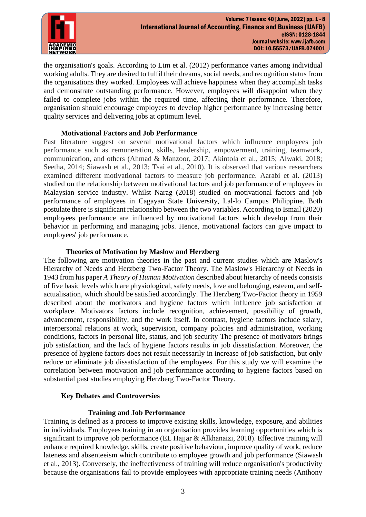

the organisation's goals. According to Lim et al. (2012) performance varies among individual working adults. They are desired to fulfil their dreams, social needs, and recognition status from the organisations they worked. Employees will achieve happiness when they accomplish tasks and demonstrate outstanding performance. However, employees will disappoint when they failed to complete jobs within the required time, affecting their performance. Therefore, organisation should encourage employees to develop higher performance by increasing better quality services and delivering jobs at optimum level.

## **Motivational Factors and Job Performance**

Past literature suggest on several motivational factors which influence employees job performance such as remuneration, skills, leadership, empowerment, training, teamwork, communication, and others (Ahmad & Manzoor, 2017; Akintola et al., 2015; Alwaki, 2018; Seetha, 2014; Siawash et al., 2013; Tsai et al., 2010). It is observed that various researchers examined different motivational factors to measure job performance. Aarabi et al. (2013) studied on the relationship between motivational factors and job performance of employees in Malaysian service industry. Whilst Narag (2018) studied on motivational factors and job performance of employees in Cagayan State University, Lal-lo Campus Philippine. Both postulate there is significant relationship between the two variables. According to Ismail (2020) employees performance are influenced by motivational factors which develop from their behavior in performing and managing jobs. Hence, motivational factors can give impact to employees' job performance.

## **Theories of Motivation by Maslow and Herzberg**

The following are motivation theories in the past and current studies which are Maslow's Hierarchy of Needs and Herzberg Two-Factor Theory. The Maslow's Hierarchy of Needs in 1943 from his paper *A Theory of Human Motivation* described about hierarchy of needs consists of five basic levels which are physiological, safety needs, love and belonging, esteem, and selfactualisation, which should be satisfied accordingly. The Herzberg Two-Factor theory in 1959 described about the motivators and hygiene factors which influence job satisfaction at workplace. Motivators factors include recognition, achievement, possibility of growth, advancement, responsibility, and the work itself. In contrast, hygiene factors include salary, interpersonal relations at work, supervision, company policies and administration, working conditions, factors in personal life, status, and job security The presence of motivators brings job satisfaction, and the lack of hygiene factors results in job dissatisfaction. Moreover, the presence of hygiene factors does not result necessarily in increase of job satisfaction, but only reduce or eliminate job dissatisfaction of the employees. For this study we will examine the correlation between motivation and job performance according to hygiene factors based on substantial past studies employing Herzberg Two-Factor Theory.

#### **Key Debates and Controversies**

# **Training and Job Performance**

Training is defined as a process to improve existing skills, knowledge, exposure, and abilities in individuals. Employees training in an organisation provides learning opportunities which is significant to improve job performance (EL Hajjar & Alkhanaizi, 2018). Effective training will enhance required knowledge, skills, create positive behaviour, improve quality of work, reduce lateness and absenteeism which contribute to employee growth and job performance (Siawash et al., 2013). Conversely, the ineffectiveness of training will reduce organisation's productivity because the organisations fail to provide employees with appropriate training needs (Anthony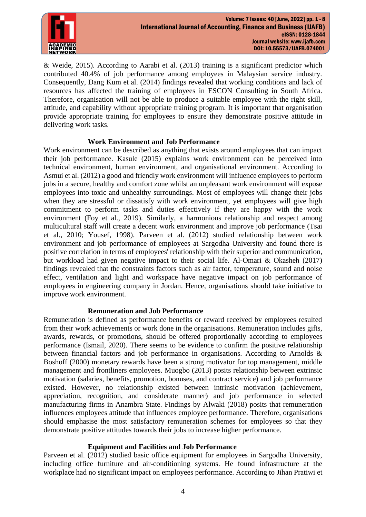

& Weide, 2015). According to Aarabi et al. (2013) training is a significant predictor which contributed 40.4% of job performance among employees in Malaysian service industry. Consequently, Dang Kum et al. (2014) findings revealed that working conditions and lack of resources has affected the training of employees in ESCON Consulting in South Africa. Therefore, organisation will not be able to produce a suitable employee with the right skill, attitude, and capability without appropriate training program. It is important that organisation provide appropriate training for employees to ensure they demonstrate positive attitude in delivering work tasks.

## **Work Environment and Job Performance**

Work environment can be described as anything that exists around employees that can impact their job performance. Kasule (2015) explains work environment can be perceived into technical environment, human environment, and organisational environment. According to Asmui et al. (2012) a good and friendly work environment will influence employees to perform jobs in a secure, healthy and comfort zone whilst an unpleasant work environment will expose employees into toxic and unhealthy surroundings. Most of employees will change their jobs when they are stressful or dissatisfy with work environment, yet employees will give high commitment to perform tasks and duties effectively if they are happy with the work environment (Foy et al., 2019). Similarly, a harmonious relationship and respect among multicultural staff will create a decent work environment and improve job performance (Tsai et al., 2010; Yousef, 1998). Parveen et al. (2012) studied relationship between work environment and job performance of employees at Sargodha University and found there is positive correlation in terms of employees' relationship with their superior and communication, but workload had given negative impact to their social life. Al-Omari & Okasheh (2017) findings revealed that the constraints factors such as air factor, temperature, sound and noise effect, ventilation and light and workspace have negative impact on job performance of employees in engineering company in Jordan. Hence, organisations should take initiative to improve work environment.

#### **Remuneration and Job Performance**

Remuneration is defined as performance benefits or reward received by employees resulted from their work achievements or work done in the organisations. Remuneration includes gifts, awards, rewards, or promotions, should be offered proportionally according to employees performance (Ismail, 2020). There seems to be evidence to confirm the positive relationship between financial factors and job performance in organisations. According to Arnolds & Boshoff (2000) monetary rewards have been a strong motivator for top management, middle management and frontliners employees. Muogbo (2013) posits relationship between extrinsic motivation (salaries, benefits, promotion, bonuses, and contract service) and job performance existed. However, no relationship existed between intrinsic motivation (achievement, appreciation, recognition, and considerate manner) and job performance in selected manufacturing firms in Anambra State. Findings by Alwaki (2018) posits that remuneration influences employees attitude that influences employee performance. Therefore, organisations should emphasise the most satisfactory remuneration schemes for employees so that they demonstrate positive attitudes towards their jobs to increase higher performance.

#### **Equipment and Facilities and Job Performance**

Parveen et al. (2012) studied basic office equipment for employees in Sargodha University, including office furniture and air-conditioning systems. He found infrastructure at the workplace had no significant impact on employees performance. According to Jihan Pratiwi et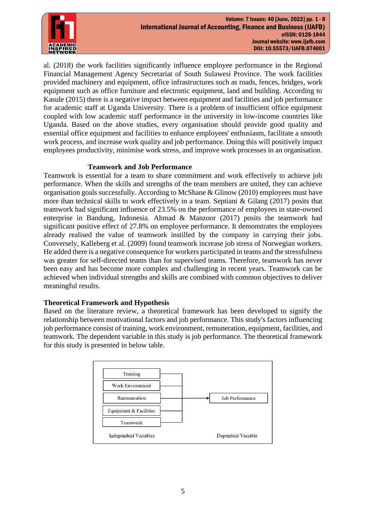

al. (2018) the work facilities significantly influence employee performance in the Regional Financial Management Agency Secretariat of South Sulawesi Province. The work facilities provided machinery and equipment, office infrastructures such as roads, fences, bridges, work equipment such as office furniture and electronic equipment, land and building. According to Kasule (2015) there is a negative impact between equipment and facilities and job performance for academic staff at Uganda University. There is a problem of insufficient office equipment coupled with low academic staff performance in the university in low-income countries like Uganda. Based on the above studies, every organisation should provide good quality and essential office equipment and facilities to enhance employees' enthusiasm, facilitate a smooth work process, and increase work quality and job performance. Doing this will positively impact employees productivity, minimise work stress, and improve work processes in an organisation.

# **Teamwork and Job Performance**

Teamwork is essential for a team to share commitment and work effectively to achieve job performance. When the skills and strengths of the team members are united, they can achieve organisation goals successfully. According to McShane & Glinow (2010) employees must have more than technical skills to work effectively in a team. Septiani & Gilang (2017) posits that teamwork had significant influence of 23.5% on the performance of employees in state-owned enterprise in Bandung, Indonesia. Ahmad & Manzoor (2017) posits the teamwork had significant positive effect of 27.8% on employee performance. It demonstrates the employees already realised the value of teamwork instilled by the company in carrying their jobs. Conversely, Kalleberg et al. (2009) found teamwork increase job stress of Norwegian workers. He added there is a negative consequence for workers participated in teams and the stressfulness was greater for self-directed teams than for supervised teams. Therefore, teamwork has never been easy and has become more complex and challenging in recent years. Teamwork can be achieved when individual strengths and skills are combined with common objectives to deliver meaningful results.

# **Theoretical Framework and Hypothesis**

Based on the literature review, a theoretical framework has been developed to signify the relationship between motivational factors and job performance. This study's factors influencing job performance consist of training, work environment, remuneration, equipment, facilities, and teamwork. The dependent variable in this study is job performance. The theoretical framework for this study is presented in below table.

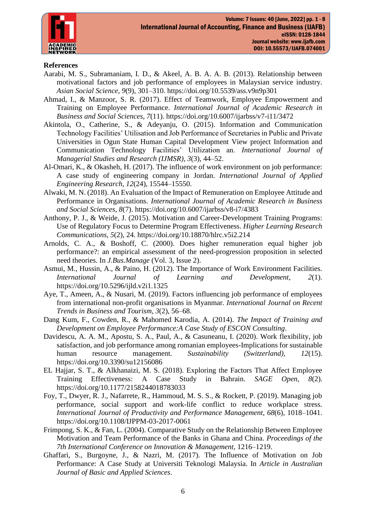

# **References**

- Aarabi, M. S., Subramaniam, I. D., & Akeel, A. B. A. A. B. (2013). Relationship between motivational factors and job performance of employees in Malaysian service industry. *Asian Social Science*, *9*(9), 301–310. https://doi.org/10.5539/ass.v9n9p301
- Ahmad, I., & Manzoor, S. R. (2017). Effect of Teamwork, Employee Empowerment and Training on Employee Performance. *International Journal of Academic Research in Business and Social Sciences*, *7*(11). https://doi.org/10.6007/ijarbss/v7-i11/3472
- Akintola, O., Catherine, S., & Adeyanju, O. (2015). Information and Communication Technology Facilities' Utilisation and Job Performance of Secretaries in Public and Private Universities in Ogun State Human Capital Development View project Information and Communication Technology Facilities' Utilization an. *International Journal of Managerial Studies and Research (IJMSR)*, *3*(3), 44–52.
- Al-Omari, K., & Okasheh, H. (2017). The influence of work environment on job performance: A case study of engineering company in Jordan. *International Journal of Applied Engineering Research*, *12*(24), 15544–15550.
- Alwaki, M. N. (2018). An Evaluation of the Impact of Remuneration on Employee Attitude and Performance in Organisations. *International Journal of Academic Research in Business and Social Sciences*, *8*(7). https://doi.org/10.6007/ijarbss/v8-i7/4383
- Anthony, P. J., & Weide, J. (2015). Motivation and Career-Development Training Programs: Use of Regulatory Focus to Determine Program Effectiveness. *Higher Learning Research Communications*, *5*(2), 24. https://doi.org/10.18870/hlrc.v5i2.214
- Arnolds, C. A., & Boshoff, C. (2000). Does higher remuneration equal higher job performance?: an empirical assessment of the need-progression proposition in selected need theories. In *J.Bus.Manage* (Vol. 3, Issue 2).
- Asmui, M., Hussin, A., & Paino, H. (2012). The Importance of Work Environment Facilities. *International Journal of Learning and Development*, *2*(1). https://doi.org/10.5296/ijld.v2i1.1325
- Aye, T., Ameen, A., & Nusari, M. (2019). Factors influencing job performance of employees from international non-profit organisations in Myanmar. *International Journal on Recent Trends in Business and Tourism*, *3*(2), 56–68.
- Dang Kum, F., Cowden, R., & Mahomed Karodia, A. (2014). *The Impact of Training and Development on Employee Performance:A Case Study of ESCON Consulting*.
- Davidescu, A. A. M., Apostu, S. A., Paul, A., & Casuneanu, I. (2020). Work flexibility, job satisfaction, and job performance among romanian employees-Implications for sustainable human resource management. *Sustainability (Switzerland)*, *12*(15). https://doi.org/10.3390/su12156086
- EL Hajjar, S. T., & Alkhanaizi, M. S. (2018). Exploring the Factors That Affect Employee Training Effectiveness: A Case Study in Bahrain. *SAGE Open*, *8*(2). https://doi.org/10.1177/2158244018783033
- Foy, T., Dwyer, R. J., Nafarrete, R., Hammoud, M. S. S., & Rockett, P. (2019). Managing job performance, social support and work-life conflict to reduce workplace stress. *International Journal of Productivity and Performance Management*, *68*(6), 1018–1041. https://doi.org/10.1108/IJPPM-03-2017-0061
- Frimpong, S. K., & Fan, L. (2004). Comparative Study on the Relationship Between Employee Motivation and Team Performance of the Banks in Ghana and China. *Proceedings of the 7th International Conference on Innovation & Management*, 1216–1219.
- Ghaffari, S., Burgoyne, J., & Nazri, M. (2017). The Influence of Motivation on Job Performance: A Case Study at Universiti Teknologi Malaysia. In *Article in Australian Journal of Basic and Applied Sciences*.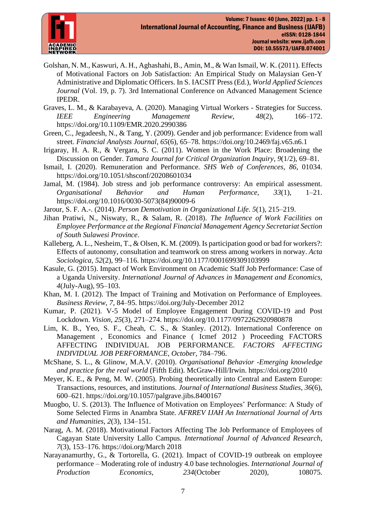

- Golshan, N. M., Kaswuri, A. H., Aghashahi, B., Amin, M., & Wan Ismail, W. K. (2011). Effects of Motivational Factors on Job Satisfaction: An Empirical Study on Malaysian Gen-Y Administrative and Diplomatic Officers. In S. IACSIT Press (Ed.), *World Applied Sciences Journal* (Vol. 19, p. 7). 3rd International Conference on Advanced Management Science IPEDR.
- Graves, L. M., & Karabayeva, A. (2020). Managing Virtual Workers Strategies for Success. *IEEE Engineering Management Review*, *48*(2), 166–172. https://doi.org/10.1109/EMR.2020.2990386
- Green, C., Jegadeesh, N., & Tang, Y. (2009). Gender and job performance: Evidence from wall street. *Financial Analysts Journal*, *65*(6), 65–78. https://doi.org/10.2469/faj.v65.n6.1
- Irigaray, H. A. R., & Vergara, S. C. (2011). Women in the Work Place: Broadening the Discussion on Gender. *Tamara Journal for Critical Organization Inquiry*, *9*(1/2), 69–81.
- Ismail, I. (2020). Remuneration and Performance. *SHS Web of Conferences*, *86*, 01034. https://doi.org/10.1051/shsconf/20208601034
- Jamal, M. (1984). Job stress and job performance controversy: An empirical assessment. *Organisational Behavior and Human Performance*, *33*(1), 1–21. https://doi.org/10.1016/0030-5073(84)90009-6
- Jarour, S. F. A.-. (2014). *Person Demotivation in Organizational Life*. *5*(1), 215–219.
- Jihan Pratiwi, N., Niswaty, R., & Salam, R. (2018). *The Influence of Work Facilities on Employee Performance at the Regional Financial Management Agency Secretariat Section of South Sulawesi Province*.
- Kalleberg, A. L., Nesheim, T., & Olsen, K. M. (2009). Is participation good or bad for workers?: Effects of autonomy, consultation and teamwork on stress among workers in norway. *Acta Sociologica*, *52*(2), 99–116. https://doi.org/10.1177/0001699309103999
- Kasule, G. (2015). Impact of Work Environment on Academic Staff Job Performance: Case of a Uganda University. *International Journal of Advances in Management and Economics*, *4*(July-Aug), 95–103.
- Khan, M. I. (2012). The Impact of Training and Motivation on Performance of Employees. *Business Review*, *7*, 84–95. https://doi.org/July-December 2012
- Kumar, P. (2021). V-5 Model of Employee Engagement During COVID-19 and Post Lockdown. *Vision*, *25*(3), 271–274. https://doi.org/10.1177/0972262920980878
- Lim, K. B., Yeo, S. F., Cheah, C. S., & Stanley. (2012). International Conference on Management , Economics and Finance ( Icmef 2012 ) Proceeding FACTORS AFFECTING INDIVIDUAL JOB PERFORMANCE. *FACTORS AFFECTING INDIVIDUAL JOB PERFORMANCE*, *October*, 784–796.
- McShane, S. L., & Glinow, M.A.V. (2010). *Organisational Behavior -Emerging knowledge and practice for the real world* (Fifth Edit). McGraw-Hill/Irwin. https://doi.org/2010
- Meyer, K. E., & Peng, M. W. (2005). Probing theoretically into Central and Eastern Europe: Transactions, resources, and institutions. *Journal of International Business Studies*, *36*(6), 600–621. https://doi.org/10.1057/palgrave.jibs.8400167
- Muogbo, U. S. (2013). The Influence of Motivation on Employees' Performance: A Study of Some Selected Firms in Anambra State. *AFRREV IJAH An International Journal of Arts and Humanities*, *2*(3), 134–151.
- Narag, A. M. (2018). Motivational Factors Affecting The Job Performance of Employees of Cagayan State University Lallo Campus. *International Journal of Advanced Research*, *7*(3), 153–176. https://doi.org/March 2018
- Narayanamurthy, G., & Tortorella, G. (2021). Impact of COVID-19 outbreak on employee performance – Moderating role of industry 4.0 base technologies. *International Journal of Production Economics*, *234*(October 2020), 108075.